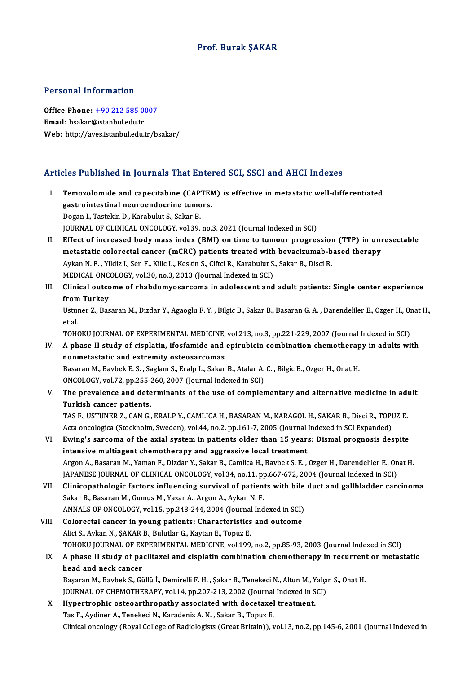### Prof. Burak ŞAKAR

#### Personal Information

Personal Information<br>Office Phone: <u>+90 212 585 0007</u><br>Email: bealar@istanbul.edu.tr Procession and community<br>Office Phone: <u>+90 212 585 0</u><br>Email: bsakar[@istanbul.edu.tr](tel:+90 212 585 0007) Email: bsakar@istanbul.edu.tr<br>Web: http://aves.istanbul.edu.tr/bsakar/

# Articles Published in Journals That Entered SCI, SSCI and AHCI Indexes

- I. Temozolomide and capecitabine (CAPTEM) is effective in metastatic well-differentiated gastrointestinal neuroendocrine (CAPTE)<br>gastrointestinal neuroendocrine tumors.<br>Dogan L. Tostekin D. Karebulut S. Sekar P. Temozolomide and capecitabine (CAP<br>gastrointestinal neuroendocrine tumo<br>Dogan I., Tastekin D., Karabulut S., Sakar B.<br>JOUPMAL OF CLINICAL ONCOLOCY vel 39 Dogan I., Tastekin D., Karabulut S., Sakar B.<br>JOURNAL OF CLINICAL ONCOLOGY, vol.39, no.3, 2021 (Journal Indexed in SCI) Dogan I., Tastekin D., Karabulut S., Sakar B.<br>JOURNAL OF CLINICAL ONCOLOGY, vol.39, no.3, 2021 (Journal Indexed in SCI)<br>II. Effect of increased body mass index (BMI) on time to tumour progression (TTP) in unresectable<br>meta
- JOURNAL OF CLINICAL ONCOLOGY, vol.39, no.3, 2021 (Journal Indexed in SCI)<br>Effect of increased body mass index (BMI) on time to tumour progression (TTP) in uni<br>metastatic colorectal cancer (mCRC) patients treated with bevac Effect of increased body mass index (BMI) on time to tumour progression<br>metastatic colorectal cancer (mCRC) patients treated with bevacizumab-b<br>Aykan N. F. , Yildiz I., Sen F., Kilic L., Keskin S., Ciftci R., Karabulut S., metastatic colorectal cancer (mCRC) patients treated with<br>Aykan N. F. , Yildiz I., Sen F., Kilic L., Keskin S., Ciftci R., Karabulut S.<br>MEDICAL ONCOLOGY, vol.30, no.3, 2013 (Journal Indexed in SCI)<br>Clinical outcome of rhab
- Aykan N. F. , Yildiz I., Sen F., Kilic L., Keskin S., Ciftci R., Karabulut S., Sakar B., Disci R.<br>MEDICAL ONCOLOGY, vol.30, no.3, 2013 (Journal Indexed in SCI)<br>III. Clinical outcome of rhabdomyosarcoma in adolescent and ad MEDICAL ONC<br>Clinical outco<br>from Turkey<br>Ustuner 7, Pee Clinical outcome of rhabdomyosarcoma in adolescent and adult patients: Single center experience<br>from Turkey<br>Ustuner Z., Basaran M., Dizdar Y., Agaoglu F. Y. , Bilgic B., Sakar B., Basaran G. A. , Darendeliler E., Ozger H.,

from<br>Ustui<br>et al.<br>TOH Ustuner Z., Basaran M., Dizdar Y., Agaoglu F. Y. , Bilgic B., Sakar B., Basaran G. A. , Darendeliler E., Ozger H., Or<br>et al.<br>TOHOKU JOURNAL OF EXPERIMENTAL MEDICINE, vol.213, no.3, pp.221-229, 2007 (Journal Indexed in SCI)

- et al.<br>IV. A phase II study of cisplatin, ifosfamide and epirubicin combination chemotherapy in adults with<br>IV. A phase II study of cisplatin, ifosfamide and epirubicin combination chemotherapy in adults with<br>nonmotastatic TOHOKU JOURNAL OF EXPERIMENTAL MEDICINE,<br>A phase II study of cisplatin, ifosfamide and<br>nonmetastatic and extremity osteosarcomas IV. A phase II study of cisplatin, ifosfamide and epirubicin combination chemotherapy in adults with<br>nonmetastatic and extremity osteosarcomas<br>Basaran M., Bavbek E. S. , Saglam S., Eralp L., Sakar B., Atalar A. C. , Bilgic nonmetastatic and extremity osteosarcomas<br>Basaran M., Bavbek E. S. , Saglam S., Eralp L., Sakar B., Atalar A.<br>ONCOLOGY, vol.72, pp.255-260, 2007 (Journal Indexed in SCI)<br>The prevelence and determinants of the use of semple
- V. The prevalence and determinants of the use of complementary and alternative medicine in adult<br>Turkish cancer patients. ONCOLOGY, vol.72, pp.255-<br>The prevalence and dete<br>Turkish cancer patients.<br>TAS E USTUNER 7, CAN C The prevalence and determinants of the use of complementary and alternative medicine in advantant and the control of the use of complementary and alternative medicine in advantant and the control of the control of the cont

Turkish cancer patients.<br>TAS F., USTUNER Z., CAN G., ERALP Y., CAMLICA H., BASARAN M., KARAGOL H., SAKAR B., Disci R., TOPI<br>Acta oncologica (Stockholm, Sweden), vol.44, no.2, pp.161-7, 2005 (Journal Indexed in SCI Expanded TAS F., USTUNER Z., CAN G., ERALP Y., CAMLICA H., BASARAN M., KARAGOL H., SAKAR B., Disci R., TOPUZ E.<br>Acta oncologica (Stockholm, Sweden), vol.44, no.2, pp.161-7, 2005 (Journal Indexed in SCI Expanded)<br>VI. Ewing's sarcoma

- Acta oncologica (Stockholm, Sweden), vol.44, no.2, pp.161-7, 2005 (Journal Indexed in SCI Expanded)<br>VI. Ewing's sarcoma of the axial system in patients older than 15 years: Dismal prognosis despite<br>intensive multiagent che Ewing's sarcoma of the axial system in patients older than 15 years: Dismal prognosis despite<br>intensive multiagent chemotherapy and aggressive local treatment<br>Argon A., Basaran M., Yaman F., Dizdar Y., Sakar B., Camlica H. intensive multiagent chemotherapy and aggressive local treatment<br>Argon A., Basaran M., Yaman F., Dizdar Y., Sakar B., Camlica H., Bavbek S. E. , Ozger H., Darendeliler E., On<br>JAPANESE JOURNAL OF CLINICAL ONCOLOGY, vol.34, Argon A., Basaran M., Yaman F., Dizdar Y., Sakar B., Camlica H., Bavbek S. E. , Ozger H., Darendeliler E., Onat H.<br>JAPANESE JOURNAL OF CLINICAL ONCOLOGY, vol.34, no.11, pp.667-672, 2004 (Journal Indexed in SCI)<br>VII. Clinic
- JAPANESE JOURNAL OF CLINICAL ONCOLOGY, vol.34, no.11, pp.667-672, 2004 (Journal Indexed in SCI)<br>Clinicopathologic factors influencing survival of patients with bile duct and gallbladder car-<br>Sakar B., Basaran M., Gumus M., Clinicopathologic factors influencing survival of patients with bile<br>Sakar B., Basaran M., Gumus M., Yazar A., Argon A., Aykan N. F.<br>ANNALS OF ONCOLOGY, vol.15, pp.243-244, 2004 (Journal Indexed in SCI)<br>Colorestel sensor i Sakar B., Basaran M., Gumus M., Yazar A., Argon A., Aykan N. F.<br>ANNALS OF ONCOLOGY, vol.15, pp.243-244, 2004 (Journal Indexed in SCI)<br>VIII. Colorectal cancer in young patients: Characteristics and outcome
- ANNALS OF ONCOLOGY, vol.15, pp.243-244, 2004 (Journal<br>Colorectal cancer in young patients: Characteristics<br>Alici S., Aykan N., ŞAKAR B., Bulutlar G., Kaytan E., Topuz E.<br>TOHOKU JOURNAL OF EXPERIMENTAL MEDICINE vol.199 Colorectal cancer in young patients: Characteristics and outcome<br>Alici S., Aykan N., ŞAKAR B., Bulutlar G., Kaytan E., Topuz E.<br>TOHOKU JOURNAL OF EXPERIMENTAL MEDICINE, vol.199, no.2, pp.85-93, 2003 (Journal Indexed in SCI Alici S., Aykan N., ŞAKAR B., Bulutlar G., Kaytan E., Topuz E.<br>TOHOKU JOURNAL OF EXPERIMENTAL MEDICINE, vol.199, no.2, pp.85-93, 2003 (Journal Indexed in SCI)<br>IX. A phase II study of paclitaxel and cisplatin combinatio
- TOHOKU JOURNAL OF EX<br>A phase II study of pa<br>head and neck cancer<br>Becaran M. Baybels S. Ci A phase II study of paclitaxel and cisplatin combination chemotherapy in recurrent<br>head and neck cancer<br>Başaran M., Bavbek S., Güllü İ., Demirelli F. H. , Şakar B., Tenekeci N., Altun M., Yalçın S., Onat H.<br>JOUPNAL OF CHEM

head and neck cancer<br>Başaran M., Bavbek S., Güllü İ., Demirelli F. H. , Şakar B., Tenekeci N., Altun M., Yalçı<br>JOURNAL OF CHEMOTHERAPY, vol.14, pp.207-213, 2002 (Journal Indexed in SCI)<br>Hunertrenhis estegarthrenathy essesi Başaran M., Bavbek S., Güllü İ., Demirelli F. H., Şakar B., Tenekeci N., Altun M., Y<br>JOURNAL OF CHEMOTHERAPY, vol.14, pp.207-213, 2002 (Journal Indexed in S<br>X. Hypertrophic osteoarthropathy associated with docetaxel treatm

JOURNAL OF CHEMOTHERAPY, vol.14, pp.207-213, 2002 (Journal<br>Hypertrophic osteoarthropathy associated with docetaxel<br>Tas F., Aydiner A., Tenekeci N., Karadeniz A. N. , Sakar B., Topuz E.<br>Clinical ongology (Boyal College of B X. Hypertrophic osteoarthropathy associated with docetaxel treatment.<br>Tas F., Aydiner A., Tenekeci N., Karadeniz A. N. , Sakar B., Topuz E.<br>Clinical oncology (Royal College of Radiologists (Great Britain)), vol.13, no.2, p